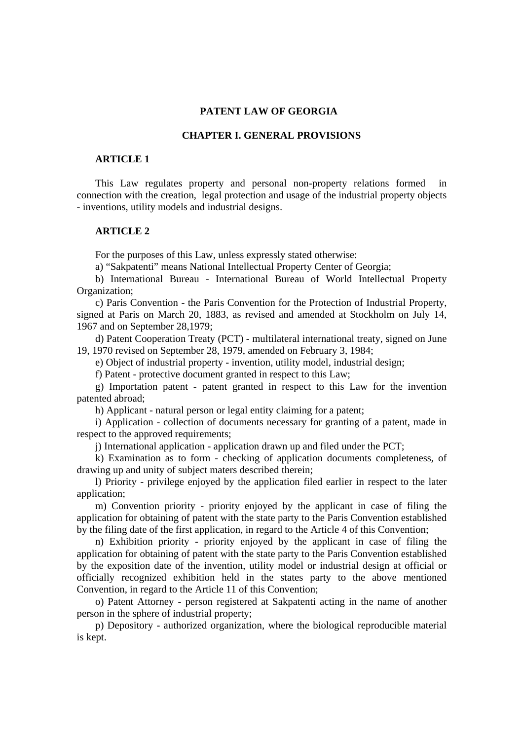### **PATENT LAW OF GEORGIA**

### **CHAPTER I. GENERAL PROVISIONS**

# **ARTICLE 1**

This Law regulates property and personal non-property relations formed in connection with the creation, legal protection and usage of the industrial property objects - inventions, utility models and industrial designs.

# **ARTICLE 2**

For the purposes of this Law, unless expressly stated otherwise:

a) "Sakpatenti" means National Intellectual Property Center of Georgia;

b) International Bureau - International Bureau of World Intellectual Property Organization;

c) Paris Convention - the Paris Convention for the Protection of Industrial Property, signed at Paris on March 20, 1883, as revised and amended at Stockholm on July 14, 1967 and on September 28,1979;

d) Patent Cooperation Treaty (PCT) - multilateral international treaty, signed on June 19, 1970 revised on September 28, 1979, amended on February 3, 1984;

e) Object of industrial property - invention, utility model, industrial design;

f) Patent - protective document granted in respect to this Law;

g) Importation patent - patent granted in respect to this Law for the invention patented abroad;

h) Applicant - natural person or legal entity claiming for a patent;

i) Application - collection of documents necessary for granting of a patent, made in respect to the approved requirements;

j) International application - application drawn up and filed under the PCT;

k) Examination as to form - checking of application documents completeness, of drawing up and unity of subject maters described therein;

l) Priority - privilege enjoyed by the application filed earlier in respect to the later application;

m) Convention priority - priority enjoyed by the applicant in case of filing the application for obtaining of patent with the state party to the Paris Convention established by the filing date of the first application, in regard to the Article 4 of this Convention;

n) Exhibition priority - priority enjoyed by the applicant in case of filing the application for obtaining of patent with the state party to the Paris Convention established by the exposition date of the invention, utility model or industrial design at official or officially recognized exhibition held in the states party to the above mentioned Convention, in regard to the Article 11 of this Convention;

o) Patent Attorney - person registered at Sakpatenti acting in the name of another person in the sphere of industrial property;

p) Depository - authorized organization, where the biological reproducible material is kept.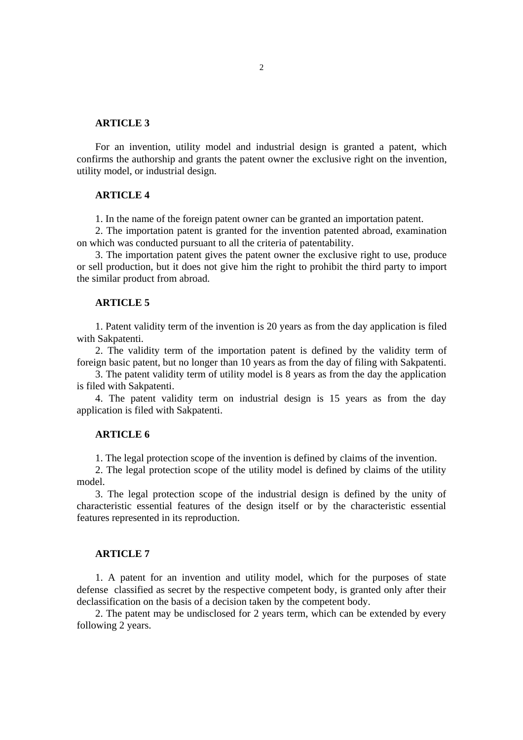For an invention, utility model and industrial design is granted a patent, which confirms the authorship and grants the patent owner the exclusive right on the invention, utility model, or industrial design.

#### **ARTICLE 4**

1. In the name of the foreign patent owner can be granted an importation patent.

2. The importation patent is granted for the invention patented abroad, examination on which was conducted pursuant to all the criteria of patentability.

3. The importation patent gives the patent owner the exclusive right to use, produce or sell production, but it does not give him the right to prohibit the third party to import the similar product from abroad.

#### **ARTICLE 5**

1. Patent validity term of the invention is 20 years as from the day application is filed with Sakpatenti.

2. The validity term of the importation patent is defined by the validity term of foreign basic patent, but no longer than 10 years as from the day of filing with Sakpatenti.

3. The patent validity term of utility model is 8 years as from the day the application is filed with Sakpatenti.

4. The patent validity term on industrial design is 15 years as from the day application is filed with Sakpatenti.

#### **ARTICLE 6**

1. The legal protection scope of the invention is defined by claims of the invention.

2. The legal protection scope of the utility model is defined by claims of the utility model.

3. The legal protection scope of the industrial design is defined by the unity of characteristic essential features of the design itself or by the characteristic essential features represented in its reproduction.

# **ARTICLE 7**

1. A patent for an invention and utility model, which for the purposes of state defense classified as secret by the respective competent body, is granted only after their declassification on the basis of a decision taken by the competent body.

2. The patent may be undisclosed for 2 years term, which can be extended by every following 2 years.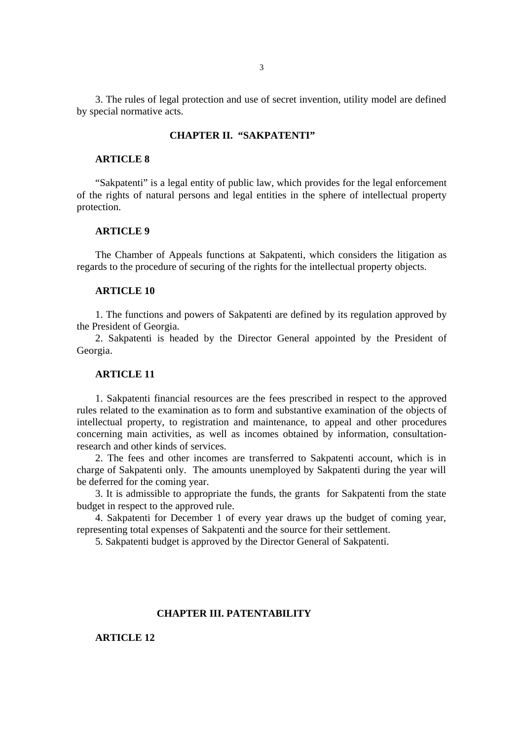3. The rules of legal protection and use of secret invention, utility model are defined by special normative acts.

# **CHAPTER II. "SAKPATENTI"**

## **ARTICLE 8**

"Sakpatenti" is a legal entity of public law, which provides for the legal enforcement of the rights of natural persons and legal entities in the sphere of intellectual property protection.

# **ARTICLE 9**

The Chamber of Appeals functions at Sakpatenti, which considers the litigation as regards to the procedure of securing of the rights for the intellectual property objects.

#### **ARTICLE 10**

1. The functions and powers of Sakpatenti are defined by its regulation approved by the President of Georgia.

2. Sakpatenti is headed by the Director General appointed by the President of Georgia.

# **ARTICLE 11**

1. Sakpatenti financial resources are the fees prescribed in respect to the approved rules related to the examination as to form and substantive examination of the objects of intellectual property, to registration and maintenance, to appeal and other procedures concerning main activities, as well as incomes obtained by information, consultationresearch and other kinds of services.

2. The fees and other incomes are transferred to Sakpatenti account, which is in charge of Sakpatenti only. The amounts unemployed by Sakpatenti during the year will be deferred for the coming year.

3. It is admissible to appropriate the funds, the grants for Sakpatenti from the state budget in respect to the approved rule.

4. Sakpatenti for December 1 of every year draws up the budget of coming year, representing total expenses of Sakpatenti and the source for their settlement.

5. Sakpatenti budget is approved by the Director General of Sakpatenti.

## **CHAPTER III. PATENTABILITY**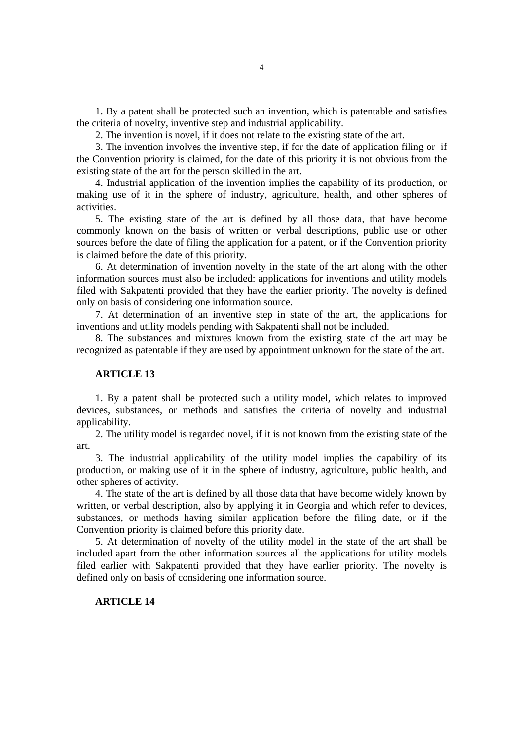1. By a patent shall be protected such an invention, which is patentable and satisfies the criteria of novelty, inventive step and industrial applicability.

2. The invention is novel, if it does not relate to the existing state of the art.

3. The invention involves the inventive step, if for the date of application filing or if the Convention priority is claimed, for the date of this priority it is not obvious from the existing state of the art for the person skilled in the art.

4. Industrial application of the invention implies the capability of its production, or making use of it in the sphere of industry, agriculture, health, and other spheres of activities.

5. The existing state of the art is defined by all those data, that have become commonly known on the basis of written or verbal descriptions, public use or other sources before the date of filing the application for a patent, or if the Convention priority is claimed before the date of this priority.

6. At determination of invention novelty in the state of the art along with the other information sources must also be included: applications for inventions and utility models filed with Sakpatenti provided that they have the earlier priority. The novelty is defined only on basis of considering one information source.

7. At determination of an inventive step in state of the art, the applications for inventions and utility models pending with Sakpatenti shall not be included.

8. The substances and mixtures known from the existing state of the art may be recognized as patentable if they are used by appointment unknown for the state of the art.

#### **ARTICLE 13**

1. By a patent shall be protected such a utility model, which relates to improved devices, substances, or methods and satisfies the criteria of novelty and industrial applicability.

2. The utility model is regarded novel, if it is not known from the existing state of the art.

3. The industrial applicability of the utility model implies the capability of its production, or making use of it in the sphere of industry, agriculture, public health, and other spheres of activity.

4. The state of the art is defined by all those data that have become widely known by written, or verbal description, also by applying it in Georgia and which refer to devices, substances, or methods having similar application before the filing date, or if the Convention priority is claimed before this priority date.

5. At determination of novelty of the utility model in the state of the art shall be included apart from the other information sources all the applications for utility models filed earlier with Sakpatenti provided that they have earlier priority. The novelty is defined only on basis of considering one information source.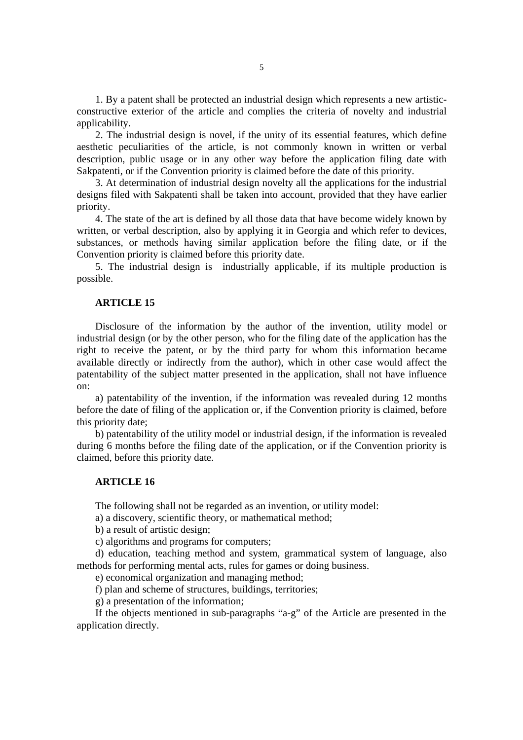1. By a patent shall be protected an industrial design which represents a new artisticconstructive exterior of the article and complies the criteria of novelty and industrial applicability.

2. The industrial design is novel, if the unity of its essential features, which define aesthetic peculiarities of the article, is not commonly known in written or verbal description, public usage or in any other way before the application filing date with Sakpatenti, or if the Convention priority is claimed before the date of this priority.

3. At determination of industrial design novelty all the applications for the industrial designs filed with Sakpatenti shall be taken into account, provided that they have earlier priority.

4. The state of the art is defined by all those data that have become widely known by written, or verbal description, also by applying it in Georgia and which refer to devices, substances, or methods having similar application before the filing date, or if the Convention priority is claimed before this priority date.

5. The industrial design is industrially applicable, if its multiple production is possible.

#### **ARTICLE 15**

Disclosure of the information by the author of the invention, utility model or industrial design (or by the other person, who for the filing date of the application has the right to receive the patent, or by the third party for whom this information became available directly or indirectly from the author), which in other case would affect the patentability of the subject matter presented in the application, shall not have influence on:

a) patentability of the invention, if the information was revealed during 12 months before the date of filing of the application or, if the Convention priority is claimed, before this priority date;

b) patentability of the utility model or industrial design, if the information is revealed during 6 months before the filing date of the application, or if the Convention priority is claimed, before this priority date.

### **ARTICLE 16**

The following shall not be regarded as an invention, or utility model:

a) a discovery, scientific theory, or mathematical method;

b) a result of artistic design;

c) algorithms and programs for computers;

d) education, teaching method and system, grammatical system of language, also methods for performing mental acts, rules for games or doing business.

e) economical organization and managing method;

f) plan and scheme of structures, buildings, territories;

g) a presentation of the information;

If the objects mentioned in sub-paragraphs "a-g" of the Article are presented in the application directly.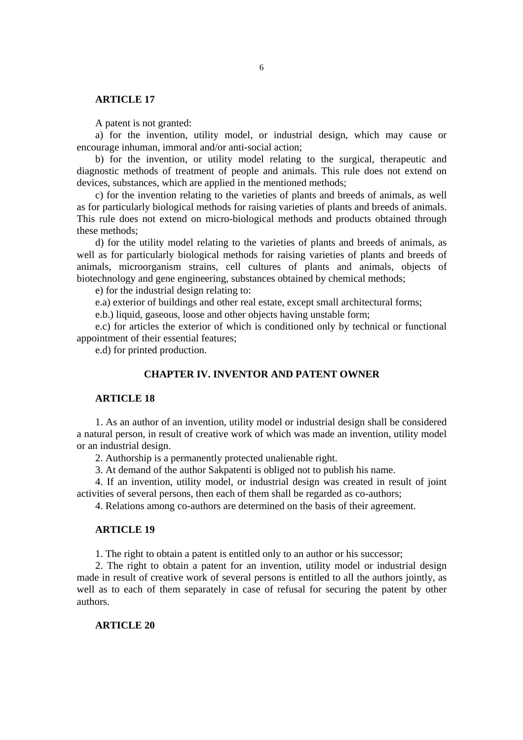A patent is not granted:

a) for the invention, utility model, or industrial design, which may cause or encourage inhuman, immoral and/or anti-social action;

b) for the invention, or utility model relating to the surgical, therapeutic and diagnostic methods of treatment of people and animals. This rule does not extend on devices, substances, which are applied in the mentioned methods;

c) for the invention relating to the varieties of plants and breeds of animals, as well as for particularly biological methods for raising varieties of plants and breeds of animals. This rule does not extend on micro-biological methods and products obtained through these methods;

d) for the utility model relating to the varieties of plants and breeds of animals, as well as for particularly biological methods for raising varieties of plants and breeds of animals, microorganism strains, cell cultures of plants and animals, objects of biotechnology and gene engineering, substances obtained by chemical methods;

e) for the industrial design relating to:

e.a) exterior of buildings and other real estate, except small architectural forms;

e.b.) liquid, gaseous, loose and other objects having unstable form;

e.c) for articles the exterior of which is conditioned only by technical or functional appointment of their essential features;

e.d) for printed production.

# **CHAPTER IV. INVENTOR AND PATENT OWNER**

# **ARTICLE 18**

1. As an author of an invention, utility model or industrial design shall be considered a natural person, in result of creative work of which was made an invention, utility model or an industrial design.

2. Authorship is a permanently protected unalienable right.

3. At demand of the author Sakpatenti is obliged not to publish his name.

4. If an invention, utility model, or industrial design was created in result of joint activities of several persons, then each of them shall be regarded as co-authors;

4. Relations among co-authors are determined on the basis of their agreement.

### **ARTICLE 19**

1. The right to obtain a patent is entitled only to an author or his successor;

2. The right to obtain a patent for an invention, utility model or industrial design made in result of creative work of several persons is entitled to all the authors jointly, as well as to each of them separately in case of refusal for securing the patent by other authors.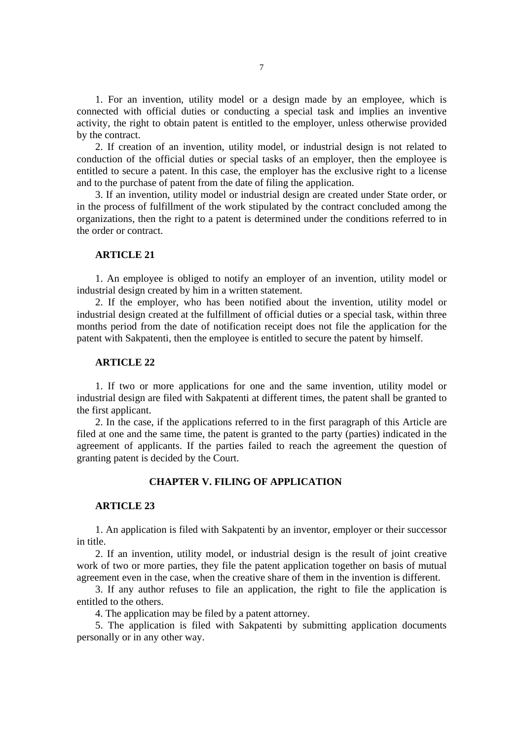1. For an invention, utility model or a design made by an employee, which is connected with official duties or conducting a special task and implies an inventive activity, the right to obtain patent is entitled to the employer, unless otherwise provided by the contract.

2. If creation of an invention, utility model, or industrial design is not related to conduction of the official duties or special tasks of an employer, then the employee is entitled to secure a patent. In this case, the employer has the exclusive right to a license and to the purchase of patent from the date of filing the application.

3. If an invention, utility model or industrial design are created under State order, or in the process of fulfillment of the work stipulated by the contract concluded among the organizations, then the right to a patent is determined under the conditions referred to in the order or contract.

# **ARTICLE 21**

1. An employee is obliged to notify an employer of an invention, utility model or industrial design created by him in a written statement.

2. If the employer, who has been notified about the invention, utility model or industrial design created at the fulfillment of official duties or a special task, within three months period from the date of notification receipt does not file the application for the patent with Sakpatenti, then the employee is entitled to secure the patent by himself.

### **ARTICLE 22**

1. If two or more applications for one and the same invention, utility model or industrial design are filed with Sakpatenti at different times, the patent shall be granted to the first applicant.

2. In the case, if the applications referred to in the first paragraph of this Article are filed at one and the same time, the patent is granted to the party (parties) indicated in the agreement of applicants. If the parties failed to reach the agreement the question of granting patent is decided by the Court.

#### **CHAPTER V. FILING OF APPLICATION**

#### **ARTICLE 23**

1. An application is filed with Sakpatenti by an inventor, employer or their successor in title.

2. If an invention, utility model, or industrial design is the result of joint creative work of two or more parties, they file the patent application together on basis of mutual agreement even in the case, when the creative share of them in the invention is different.

3. If any author refuses to file an application, the right to file the application is entitled to the others.

4. The application may be filed by a patent attorney.

5. The application is filed with Sakpatenti by submitting application documents personally or in any other way.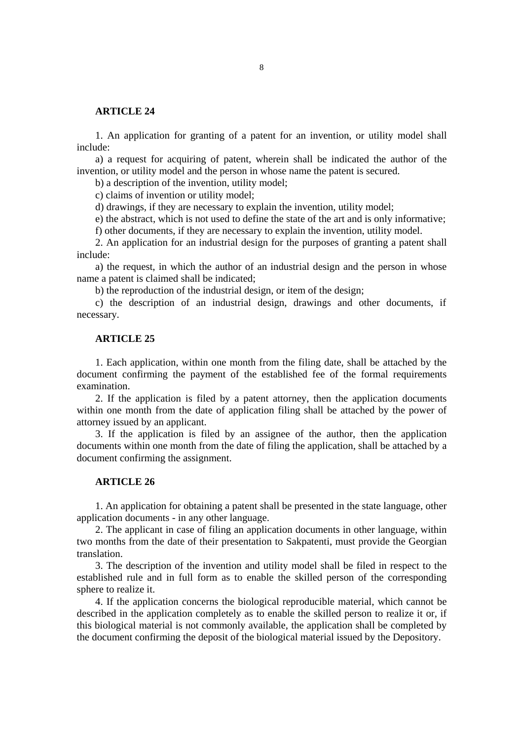1. An application for granting of a patent for an invention, or utility model shall include:

a) a request for acquiring of patent, wherein shall be indicated the author of the invention, or utility model and the person in whose name the patent is secured.

b) a description of the invention, utility model;

c) claims of invention or utility model;

d) drawings, if they are necessary to explain the invention, utility model;

e) the abstract, which is not used to define the state of the art and is only informative;

f) other documents, if they are necessary to explain the invention, utility model.

2. An application for an industrial design for the purposes of granting a patent shall include:

a) the request, in which the author of an industrial design and the person in whose name a patent is claimed shall be indicated;

b) the reproduction of the industrial design, or item of the design;

c) the description of an industrial design, drawings and other documents, if necessary.

#### **ARTICLE 25**

1. Each application, within one month from the filing date, shall be attached by the document confirming the payment of the established fee of the formal requirements examination.

2. If the application is filed by a patent attorney, then the application documents within one month from the date of application filing shall be attached by the power of attorney issued by an applicant.

3. If the application is filed by an assignee of the author, then the application documents within one month from the date of filing the application, shall be attached by a document confirming the assignment.

## **ARTICLE 26**

1. An application for obtaining a patent shall be presented in the state language, other application documents - in any other language.

2. The applicant in case of filing an application documents in other language, within two months from the date of their presentation to Sakpatenti, must provide the Georgian translation.

3. The description of the invention and utility model shall be filed in respect to the established rule and in full form as to enable the skilled person of the corresponding sphere to realize it.

4. If the application concerns the biological reproducible material, which cannot be described in the application completely as to enable the skilled person to realize it or, if this biological material is not commonly available, the application shall be completed by the document confirming the deposit of the biological material issued by the Depository.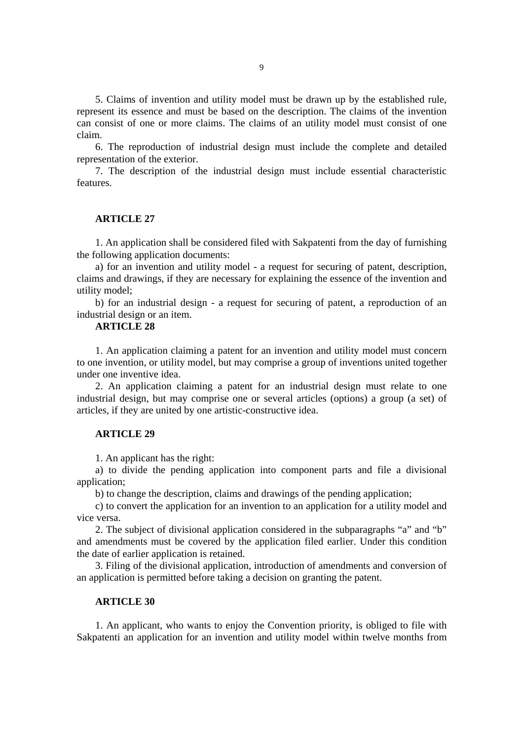5. Claims of invention and utility model must be drawn up by the established rule, represent its essence and must be based on the description. The claims of the invention can consist of one or more claims. The claims of an utility model must consist of one claim.

6. The reproduction of industrial design must include the complete and detailed representation of the exterior.

7. The description of the industrial design must include essential characteristic features.

# **ARTICLE 27**

1. An application shall be considered filed with Sakpatenti from the day of furnishing the following application documents:

a) for an invention and utility model - a request for securing of patent, description, claims and drawings, if they are necessary for explaining the essence of the invention and utility model;

b) for an industrial design - a request for securing of patent, a reproduction of an industrial design or an item.

# **ARTICLE 28**

1. An application claiming a patent for an invention and utility model must concern to one invention, or utility model, but may comprise a group of inventions united together under one inventive idea.

2. An application claiming a patent for an industrial design must relate to one industrial design, but may comprise one or several articles (options) a group (a set) of articles, if they are united by one artistic-constructive idea.

#### **ARTICLE 29**

1. An applicant has the right:

a) to divide the pending application into component parts and file a divisional application;

b) to change the description, claims and drawings of the pending application;

c) to convert the application for an invention to an application for a utility model and vice versa.

2. The subject of divisional application considered in the subparagraphs "a" and "b" and amendments must be covered by the application filed earlier. Under this condition the date of earlier application is retained.

3. Filing of the divisional application, introduction of amendments and conversion of an application is permitted before taking a decision on granting the patent.

# **ARTICLE 30**

1. An applicant, who wants to enjoy the Convention priority, is obliged to file with Sakpatenti an application for an invention and utility model within twelve months from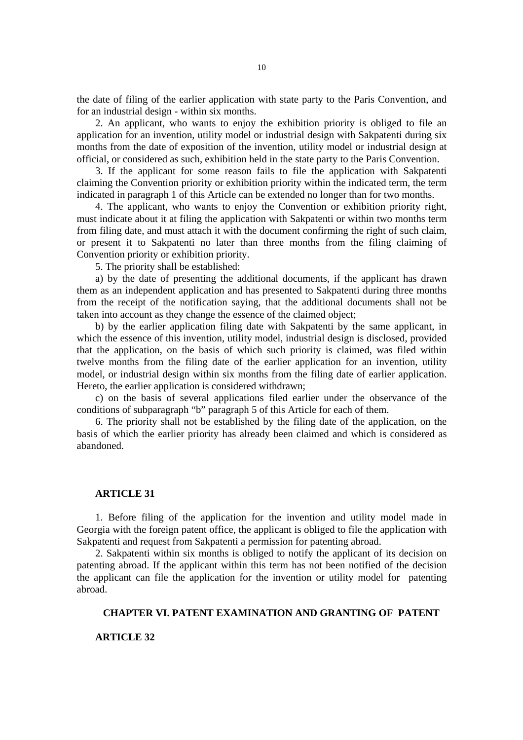the date of filing of the earlier application with state party to the Paris Convention, and for an industrial design - within six months.

2. An applicant, who wants to enjoy the exhibition priority is obliged to file an application for an invention, utility model or industrial design with Sakpatenti during six months from the date of exposition of the invention, utility model or industrial design at official, or considered as such, exhibition held in the state party to the Paris Convention.

3. If the applicant for some reason fails to file the application with Sakpatenti claiming the Convention priority or exhibition priority within the indicated term, the term indicated in paragraph 1 of this Article can be extended no longer than for two months.

4. The applicant, who wants to enjoy the Convention or exhibition priority right, must indicate about it at filing the application with Sakpatenti or within two months term from filing date, and must attach it with the document confirming the right of such claim, or present it to Sakpatenti no later than three months from the filing claiming of Convention priority or exhibition priority.

5. The priority shall be established:

a) by the date of presenting the additional documents, if the applicant has drawn them as an independent application and has presented to Sakpatenti during three months from the receipt of the notification saying, that the additional documents shall not be taken into account as they change the essence of the claimed object;

b) by the earlier application filing date with Sakpatenti by the same applicant, in which the essence of this invention, utility model, industrial design is disclosed, provided that the application, on the basis of which such priority is claimed, was filed within twelve months from the filing date of the earlier application for an invention, utility model, or industrial design within six months from the filing date of earlier application. Hereto, the earlier application is considered withdrawn;

c) on the basis of several applications filed earlier under the observance of the conditions of subparagraph "b" paragraph 5 of this Article for each of them.

6. The priority shall not be established by the filing date of the application, on the basis of which the earlier priority has already been claimed and which is considered as abandoned.

#### **ARTICLE 31**

1. Before filing of the application for the invention and utility model made in Georgia with the foreign patent office, the applicant is obliged to file the application with Sakpatenti and request from Sakpatenti a permission for patenting abroad.

2. Sakpatenti within six months is obliged to notify the applicant of its decision on patenting abroad. If the applicant within this term has not been notified of the decision the applicant can file the application for the invention or utility model for patenting abroad.

## **CHAPTER VI. PATENT EXAMINATION AND GRANTING OF PATENT**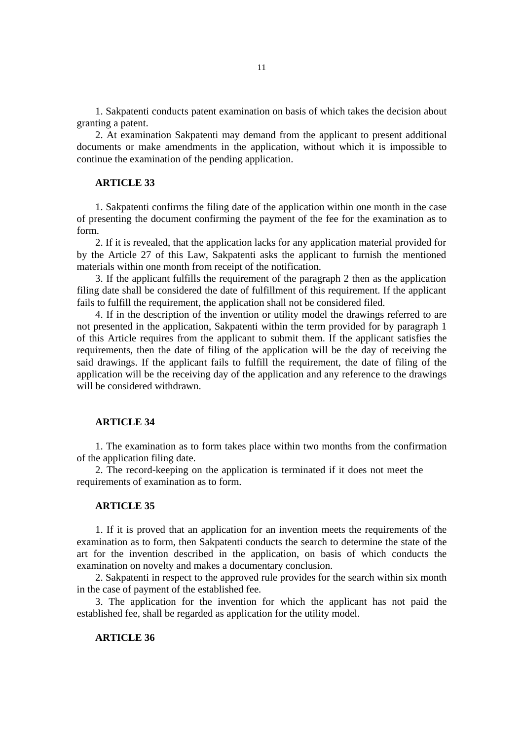1. Sakpatenti conducts patent examination on basis of which takes the decision about granting a patent.

2. At examination Sakpatenti may demand from the applicant to present additional documents or make amendments in the application, without which it is impossible to continue the examination of the pending application.

### **ARTICLE 33**

1. Sakpatenti confirms the filing date of the application within one month in the case of presenting the document confirming the payment of the fee for the examination as to form.

2. If it is revealed, that the application lacks for any application material provided for by the Article 27 of this Law, Sakpatenti asks the applicant to furnish the mentioned materials within one month from receipt of the notification.

3. If the applicant fulfills the requirement of the paragraph 2 then as the application filing date shall be considered the date of fulfillment of this requirement. If the applicant fails to fulfill the requirement, the application shall not be considered filed.

4. If in the description of the invention or utility model the drawings referred to are not presented in the application, Sakpatenti within the term provided for by paragraph 1 of this Article requires from the applicant to submit them. If the applicant satisfies the requirements, then the date of filing of the application will be the day of receiving the said drawings. If the applicant fails to fulfill the requirement, the date of filing of the application will be the receiving day of the application and any reference to the drawings will be considered withdrawn.

#### **ARTICLE 34**

1. The examination as to form takes place within two months from the confirmation of the application filing date.

2. The record-keeping on the application is terminated if it does not meet the requirements of examination as to form.

### **ARTICLE 35**

1. If it is proved that an application for an invention meets the requirements of the examination as to form, then Sakpatenti conducts the search to determine the state of the art for the invention described in the application, on basis of which conducts the examination on novelty and makes a documentary conclusion.

2. Sakpatenti in respect to the approved rule provides for the search within six month in the case of payment of the established fee.

3. The application for the invention for which the applicant has not paid the established fee, shall be regarded as application for the utility model.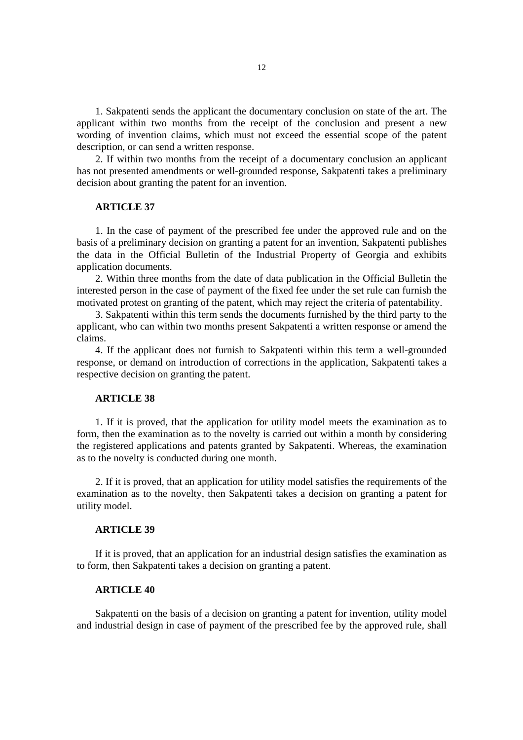1. Sakpatenti sends the applicant the documentary conclusion on state of the art. The applicant within two months from the receipt of the conclusion and present a new wording of invention claims, which must not exceed the essential scope of the patent description, or can send a written response.

2. If within two months from the receipt of a documentary conclusion an applicant has not presented amendments or well-grounded response, Sakpatenti takes a preliminary decision about granting the patent for an invention.

# **ARTICLE 37**

1. In the case of payment of the prescribed fee under the approved rule and on the basis of a preliminary decision on granting a patent for an invention, Sakpatenti publishes the data in the Official Bulletin of the Industrial Property of Georgia and exhibits application documents.

2. Within three months from the date of data publication in the Official Bulletin the interested person in the case of payment of the fixed fee under the set rule can furnish the motivated protest on granting of the patent, which may reject the criteria of patentability.

3. Sakpatenti within this term sends the documents furnished by the third party to the applicant, who can within two months present Sakpatenti a written response or amend the claims.

4. If the applicant does not furnish to Sakpatenti within this term a well-grounded response, or demand on introduction of corrections in the application, Sakpatenti takes a respective decision on granting the patent.

# **ARTICLE 38**

1. If it is proved, that the application for utility model meets the examination as to form, then the examination as to the novelty is carried out within a month by considering the registered applications and patents granted by Sakpatenti. Whereas, the examination as to the novelty is conducted during one month.

2. If it is proved, that an application for utility model satisfies the requirements of the examination as to the novelty, then Sakpatenti takes a decision on granting a patent for utility model.

#### **ARTICLE 39**

If it is proved, that an application for an industrial design satisfies the examination as to form, then Sakpatenti takes a decision on granting a patent.

#### **ARTICLE 40**

Sakpatenti on the basis of a decision on granting a patent for invention, utility model and industrial design in case of payment of the prescribed fee by the approved rule, shall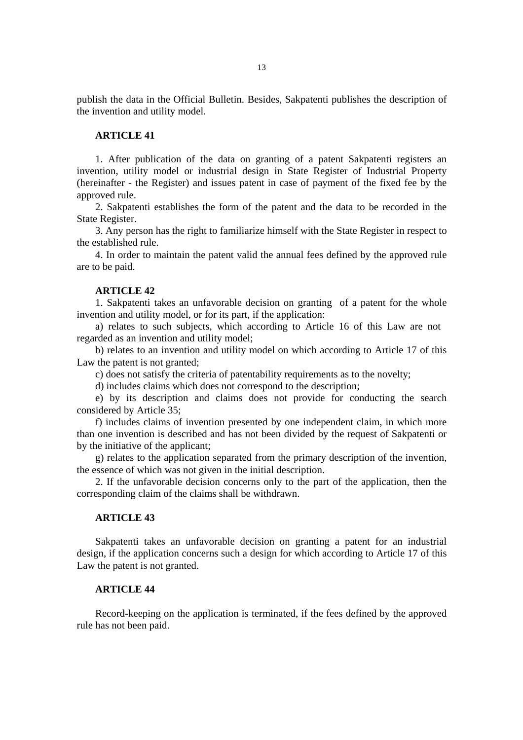publish the data in the Official Bulletin. Besides, Sakpatenti publishes the description of the invention and utility model.

# **ARTICLE 41**

1. After publication of the data on granting of a patent Sakpatenti registers an invention, utility model or industrial design in State Register of Industrial Property (hereinafter - the Register) and issues patent in case of payment of the fixed fee by the approved rule.

2. Sakpatenti establishes the form of the patent and the data to be recorded in the State Register.

3. Any person has the right to familiarize himself with the State Register in respect to the established rule.

4. In order to maintain the patent valid the annual fees defined by the approved rule are to be paid.

#### **ARTICLE 42**

1. Sakpatenti takes an unfavorable decision on granting of a patent for the whole invention and utility model, or for its part, if the application:

a) relates to such subjects, which according to Article 16 of this Law are not regarded as an invention and utility model;

b) relates to an invention and utility model on which according to Article 17 of this Law the patent is not granted;

c) does not satisfy the criteria of patentability requirements as to the novelty;

d) includes claims which does not correspond to the description;

e) by its description and claims does not provide for conducting the search considered by Article 35;

f) includes claims of invention presented by one independent claim, in which more than one invention is described and has not been divided by the request of Sakpatenti or by the initiative of the applicant;

g) relates to the application separated from the primary description of the invention, the essence of which was not given in the initial description.

2. If the unfavorable decision concerns only to the part of the application, then the corresponding claim of the claims shall be withdrawn.

### **ARTICLE 43**

Sakpatenti takes an unfavorable decision on granting a patent for an industrial design, if the application concerns such a design for which according to Article 17 of this Law the patent is not granted.

### **ARTICLE 44**

Record-keeping on the application is terminated, if the fees defined by the approved rule has not been paid.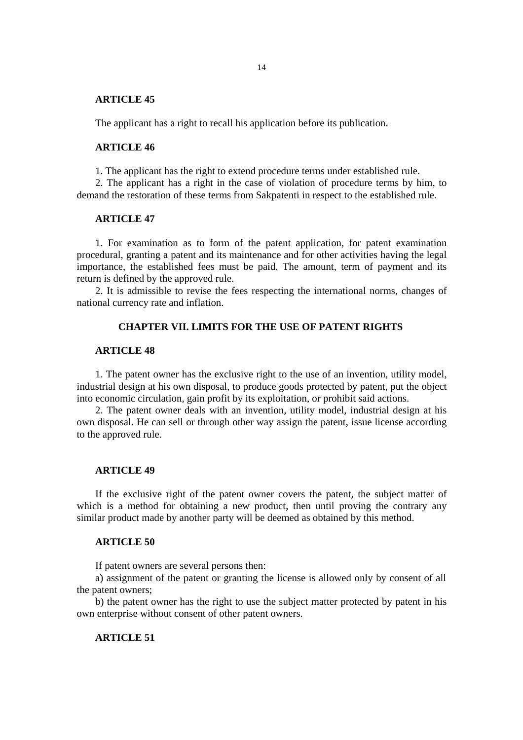The applicant has a right to recall his application before its publication.

### **ARTICLE 46**

1. The applicant has the right to extend procedure terms under established rule.

2. The applicant has a right in the case of violation of procedure terms by him, to demand the restoration of these terms from Sakpatenti in respect to the established rule.

#### **ARTICLE 47**

1. For examination as to form of the patent application, for patent examination procedural, granting a patent and its maintenance and for other activities having the legal importance, the established fees must be paid. The amount, term of payment and its return is defined by the approved rule.

2. It is admissible to revise the fees respecting the international norms, changes of national currency rate and inflation.

# **CHAPTER VII. LIMITS FOR THE USE OF PATENT RIGHTS**

#### **ARTICLE 48**

1. The patent owner has the exclusive right to the use of an invention, utility model, industrial design at his own disposal, to produce goods protected by patent, put the object into economic circulation, gain profit by its exploitation, or prohibit said actions.

2. The patent owner deals with an invention, utility model, industrial design at his own disposal. He can sell or through other way assign the patent, issue license according to the approved rule.

# **ARTICLE 49**

If the exclusive right of the patent owner covers the patent, the subject matter of which is a method for obtaining a new product, then until proving the contrary any similar product made by another party will be deemed as obtained by this method.

#### **ARTICLE 50**

If patent owners are several persons then:

a) assignment of the patent or granting the license is allowed only by consent of all the patent owners;

b) the patent owner has the right to use the subject matter protected by patent in his own enterprise without consent of other patent owners.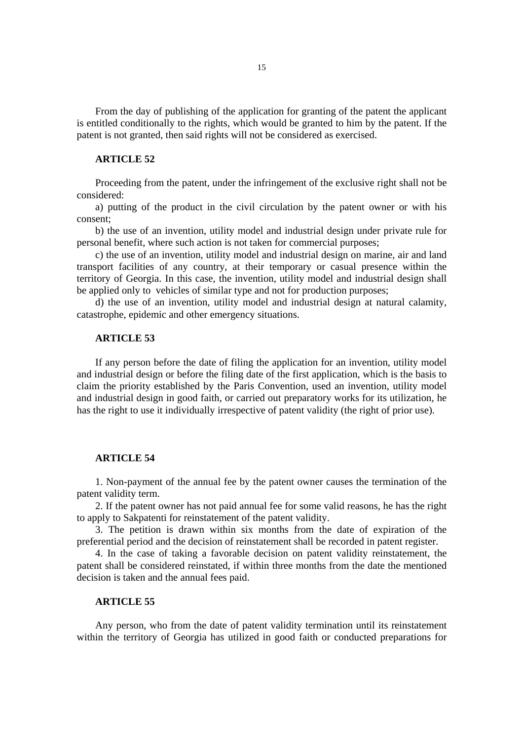From the day of publishing of the application for granting of the patent the applicant is entitled conditionally to the rights, which would be granted to him by the patent. If the patent is not granted, then said rights will not be considered as exercised.

# **ARTICLE 52**

Proceeding from the patent, under the infringement of the exclusive right shall not be considered:

a) putting of the product in the civil circulation by the patent owner or with his consent;

b) the use of an invention, utility model and industrial design under private rule for personal benefit, where such action is not taken for commercial purposes;

c) the use of an invention, utility model and industrial design on marine, air and land transport facilities of any country, at their temporary or casual presence within the territory of Georgia. In this case, the invention, utility model and industrial design shall be applied only to vehicles of similar type and not for production purposes;

d) the use of an invention, utility model and industrial design at natural calamity, catastrophe, epidemic and other emergency situations.

#### **ARTICLE 53**

If any person before the date of filing the application for an invention, utility model and industrial design or before the filing date of the first application, which is the basis to claim the priority established by the Paris Convention, used an invention, utility model and industrial design in good faith, or carried out preparatory works for its utilization, he has the right to use it individually irrespective of patent validity (the right of prior use).

# **ARTICLE 54**

1. Non-payment of the annual fee by the patent owner causes the termination of the patent validity term.

2. If the patent owner has not paid annual fee for some valid reasons, he has the right to apply to Sakpatenti for reinstatement of the patent validity.

3. The petition is drawn within six months from the date of expiration of the preferential period and the decision of reinstatement shall be recorded in patent register.

4. In the case of taking a favorable decision on patent validity reinstatement, the patent shall be considered reinstated, if within three months from the date the mentioned decision is taken and the annual fees paid.

#### **ARTICLE 55**

Any person, who from the date of patent validity termination until its reinstatement within the territory of Georgia has utilized in good faith or conducted preparations for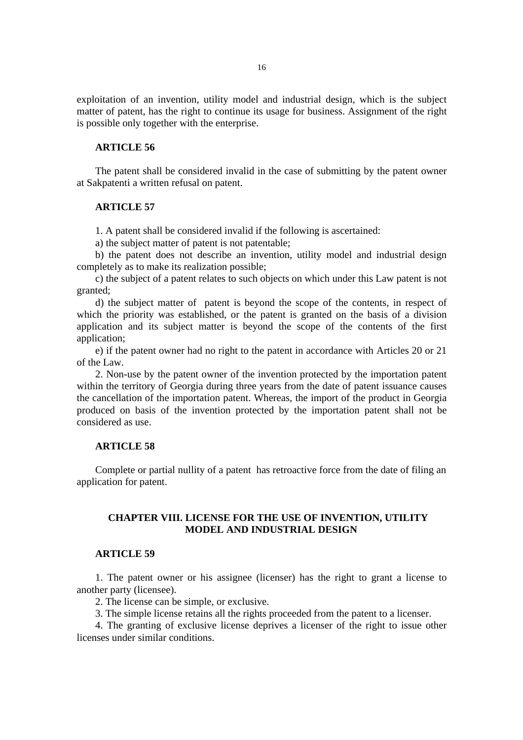exploitation of an invention, utility model and industrial design, which is the subject matter of patent, has the right to continue its usage for business. Assignment of the right is possible only together with the enterprise.

### **ARTICLE 56**

The patent shall be considered invalid in the case of submitting by the patent owner at Sakpatenti a written refusal on patent.

#### **ARTICLE 57**

1. A patent shall be considered invalid if the following is ascertained:

a) the subject matter of patent is not patentable;

b) the patent does not describe an invention, utility model and industrial design completely as to make its realization possible;

c) the subject of a patent relates to such objects on which under this Law patent is not granted;

d) the subject matter of patent is beyond the scope of the contents, in respect of which the priority was established, or the patent is granted on the basis of a division application and its subject matter is beyond the scope of the contents of the first application;

e) if the patent owner had no right to the patent in accordance with Articles 20 or 21 of the Law.

2. Non-use by the patent owner of the invention protected by the importation patent within the territory of Georgia during three years from the date of patent issuance causes the cancellation of the importation patent. Whereas, the import of the product in Georgia produced on basis of the invention protected by the importation patent shall not be considered as use.

# **ARTICLE 58**

Complete or partial nullity of a patent has retroactive force from the date of filing an application for patent.

## **CHAPTER VIII. LICENSE FOR THE USE OF INVENTION, UTILITY MODEL AND INDUSTRIAL DESIGN**

# **ARTICLE 59**

1. The patent owner or his assignee (licenser) has the right to grant a license to another party (licensee).

2. The license can be simple, or exclusive.

3. The simple license retains all the rights proceeded from the patent to a licenser.

4. The granting of exclusive license deprives a licenser of the right to issue other licenses under similar conditions.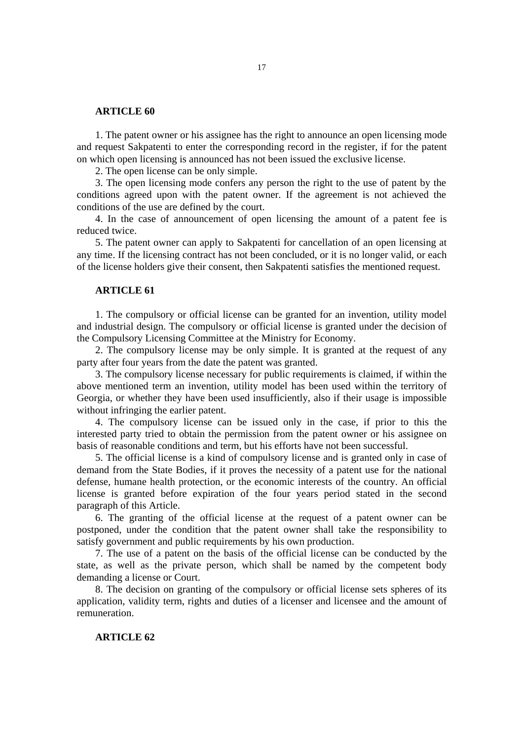1. The patent owner or his assignee has the right to announce an open licensing mode and request Sakpatenti to enter the corresponding record in the register, if for the patent on which open licensing is announced has not been issued the exclusive license.

2. The open license can be only simple.

3. The open licensing mode confers any person the right to the use of patent by the conditions agreed upon with the patent owner. If the agreement is not achieved the conditions of the use are defined by the court.

4. In the case of announcement of open licensing the amount of a patent fee is reduced twice.

5. The patent owner can apply to Sakpatenti for cancellation of an open licensing at any time. If the licensing contract has not been concluded, or it is no longer valid, or each of the license holders give their consent, then Sakpatenti satisfies the mentioned request.

### **ARTICLE 61**

1. The compulsory or official license can be granted for an invention, utility model and industrial design. The compulsory or official license is granted under the decision of the Compulsory Licensing Committee at the Ministry for Economy.

2. The compulsory license may be only simple. It is granted at the request of any party after four years from the date the patent was granted.

3. The compulsory license necessary for public requirements is claimed, if within the above mentioned term an invention, utility model has been used within the territory of Georgia, or whether they have been used insufficiently, also if their usage is impossible without infringing the earlier patent.

4. The compulsory license can be issued only in the case, if prior to this the interested party tried to obtain the permission from the patent owner or his assignee on basis of reasonable conditions and term, but his efforts have not been successful.

5. The official license is a kind of compulsory license and is granted only in case of demand from the State Bodies, if it proves the necessity of a patent use for the national defense, humane health protection, or the economic interests of the country. An official license is granted before expiration of the four years period stated in the second paragraph of this Article.

6. The granting of the official license at the request of a patent owner can be postponed, under the condition that the patent owner shall take the responsibility to satisfy government and public requirements by his own production.

7. The use of a patent on the basis of the official license can be conducted by the state, as well as the private person, which shall be named by the competent body demanding a license or Court.

8. The decision on granting of the compulsory or official license sets spheres of its application, validity term, rights and duties of a licenser and licensee and the amount of remuneration.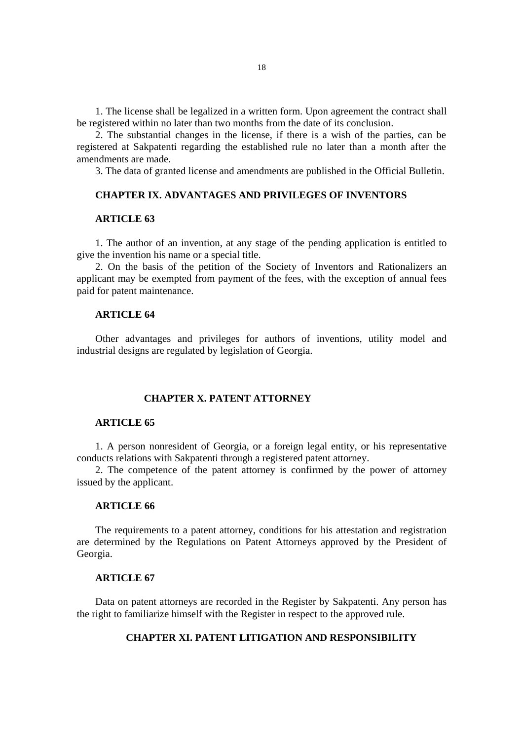1. The license shall be legalized in a written form. Upon agreement the contract shall be registered within no later than two months from the date of its conclusion.

2. The substantial changes in the license, if there is a wish of the parties, can be registered at Sakpatenti regarding the established rule no later than a month after the amendments are made.

3. The data of granted license and amendments are published in the Official Bulletin.

### **CHAPTER IX. ADVANTAGES AND PRIVILEGES OF INVENTORS**

### **ARTICLE 63**

1. The author of an invention, at any stage of the pending application is entitled to give the invention his name or a special title.

2. On the basis of the petition of the Society of Inventors and Rationalizers an applicant may be exempted from payment of the fees, with the exception of annual fees paid for patent maintenance.

# **ARTICLE 64**

Other advantages and privileges for authors of inventions, utility model and industrial designs are regulated by legislation of Georgia.

# **CHAPTER X. PATENT ATTORNEY**

#### **ARTICLE 65**

1. A person nonresident of Georgia, or a foreign legal entity, or his representative conducts relations with Sakpatenti through a registered patent attorney.

2. The competence of the patent attorney is confirmed by the power of attorney issued by the applicant.

### **ARTICLE 66**

The requirements to a patent attorney, conditions for his attestation and registration are determined by the Regulations on Patent Attorneys approved by the President of Georgia.

#### **ARTICLE 67**

Data on patent attorneys are recorded in the Register by Sakpatenti. Any person has the right to familiarize himself with the Register in respect to the approved rule.

# **CHAPTER XI. PATENT LITIGATION AND RESPONSIBILITY**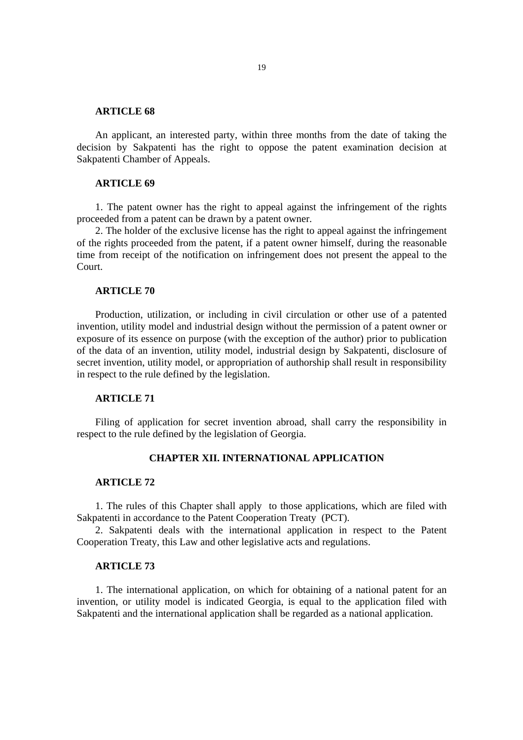An applicant, an interested party, within three months from the date of taking the decision by Sakpatenti has the right to oppose the patent examination decision at Sakpatenti Chamber of Appeals.

### **ARTICLE 69**

1. The patent owner has the right to appeal against the infringement of the rights proceeded from a patent can be drawn by a patent owner.

2. The holder of the exclusive license has the right to appeal against the infringement of the rights proceeded from the patent, if a patent owner himself, during the reasonable time from receipt of the notification on infringement does not present the appeal to the Court.

#### **ARTICLE 70**

Production, utilization, or including in civil circulation or other use of a patented invention, utility model and industrial design without the permission of a patent owner or exposure of its essence on purpose (with the exception of the author) prior to publication of the data of an invention, utility model, industrial design by Sakpatenti, disclosure of secret invention, utility model, or appropriation of authorship shall result in responsibility in respect to the rule defined by the legislation.

# **ARTICLE 71**

Filing of application for secret invention abroad, shall carry the responsibility in respect to the rule defined by the legislation of Georgia.

# **CHAPTER XII. INTERNATIONAL APPLICATION**

## **ARTICLE 72**

1. The rules of this Chapter shall apply to those applications, which are filed with Sakpatenti in accordance to the Patent Cooperation Treaty (PCT).

2. Sakpatenti deals with the international application in respect to the Patent Cooperation Treaty, this Law and other legislative acts and regulations.

# **ARTICLE 73**

1. The international application, on which for obtaining of a national patent for an invention, or utility model is indicated Georgia, is equal to the application filed with Sakpatenti and the international application shall be regarded as a national application.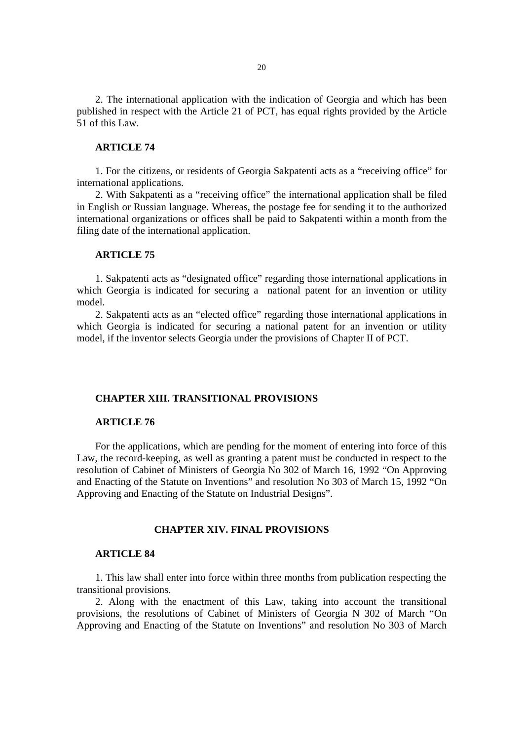2. The international application with the indication of Georgia and which has been published in respect with the Article 21 of PCT, has equal rights provided by the Article 51 of this Law.

#### **ARTICLE 74**

1. For the citizens, or residents of Georgia Sakpatenti acts as a "receiving office" for international applications.

2. With Sakpatenti as a "receiving office" the international application shall be filed in English or Russian language. Whereas, the postage fee for sending it to the authorized international organizations or offices shall be paid to Sakpatenti within a month from the filing date of the international application.

# **ARTICLE 75**

1. Sakpatenti acts as "designated office" regarding those international applications in which Georgia is indicated for securing a national patent for an invention or utility model.

2. Sakpatenti acts as an "elected office" regarding those international applications in which Georgia is indicated for securing a national patent for an invention or utility model, if the inventor selects Georgia under the provisions of Chapter II of PCT.

#### **CHAPTER XIII. TRANSITIONAL PROVISIONS**

## **ARTICLE 76**

For the applications, which are pending for the moment of entering into force of this Law, the record-keeping, as well as granting a patent must be conducted in respect to the resolution of Cabinet of Ministers of Georgia No 302 of March 16, 1992 "On Approving and Enacting of the Statute on Inventions" and resolution No 303 of March 15, 1992 "On Approving and Enacting of the Statute on Industrial Designs".

#### **CHAPTER XIV. FINAL PROVISIONS**

## **ARTICLE 84**

1. This law shall enter into force within three months from publication respecting the transitional provisions.

2. Along with the enactment of this Law, taking into account the transitional provisions, the resolutions of Cabinet of Ministers of Georgia N 302 of March "On Approving and Enacting of the Statute on Inventions" and resolution No 303 of March